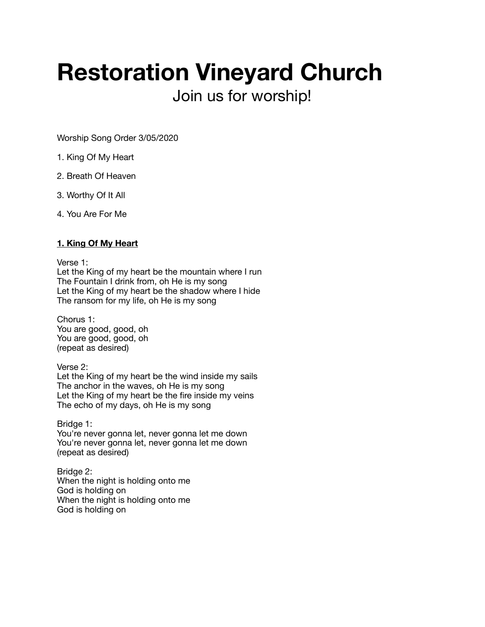# **Restoration Vineyard Church**

Join us for worship!

Worship Song Order 3/05/2020

- 1. King Of My Heart
- 2. Breath Of Heaven
- 3. Worthy Of It All
- 4. You Are For Me

## **1. King Of My Heart**

Verse 1:

Let the King of my heart be the mountain where I run The Fountain I drink from, oh He is my song Let the King of my heart be the shadow where I hide The ransom for my life, oh He is my song

Chorus 1: You are good, good, oh You are good, good, oh (repeat as desired)

Verse 2: Let the King of my heart be the wind inside my sails The anchor in the waves, oh He is my song Let the King of my heart be the fire inside my veins The echo of my days, oh He is my song

Bridge 1: You're never gonna let, never gonna let me down You're never gonna let, never gonna let me down (repeat as desired)

Bridge 2: When the night is holding onto me God is holding on When the night is holding onto me God is holding on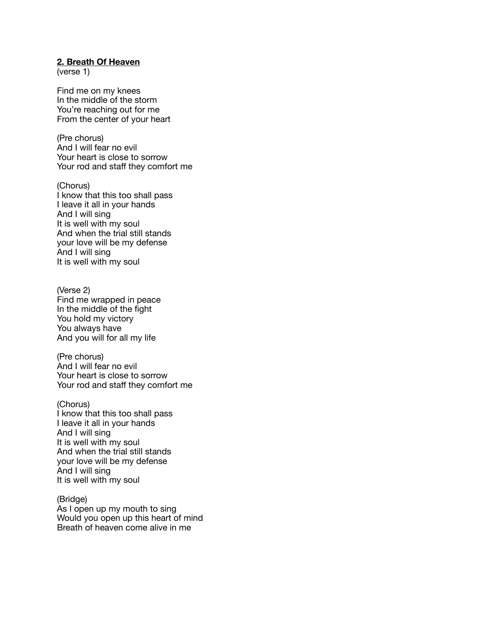#### **2. Breath Of Heaven**

(verse 1)

Find me on my knees In the middle of the storm You're reaching out for me From the center of your heart

(Pre chorus) And I will fear no evil Your heart is close to sorrow Your rod and staff they comfort me

(Chorus) I know that this too shall pass I leave it all in your hands And I will sing It is well with my soul And when the trial still stands your love will be my defense And I will sing It is well with my soul

(Verse 2) Find me wrapped in peace In the middle of the fight You hold my victory You always have And you will for all my life

(Pre chorus) And I will fear no evil Your heart is close to sorrow Your rod and staff they comfort me

(Chorus) I know that this too shall pass I leave it all in your hands And I will sing It is well with my soul And when the trial still stands your love will be my defense And I will sing It is well with my soul

(Bridge) As I open up my mouth to sing Would you open up this heart of mind Breath of heaven come alive in me